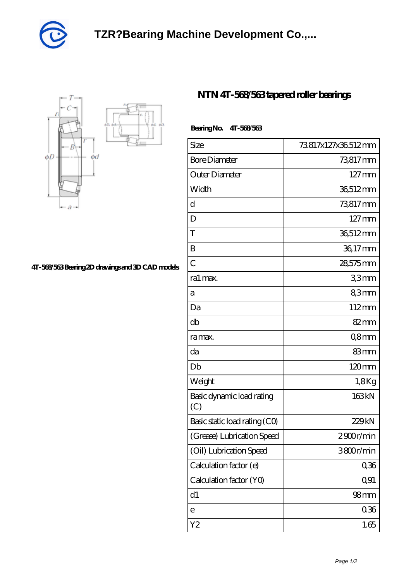



## **[4T-568/563 Bearing 2D drawings and 3D CAD models](https://xgoxg.com/pic-34372.html)**

## **[NTN 4T-568/563 tapered roller bearings](https://xgoxg.com/af-34372-ntn-4t-568-563-tapered-roller-bearings.html)**

## **Bearing No. 4T-568/563**

| Size                             | 73817x127x36512mm   |
|----------------------------------|---------------------|
| <b>Bore Diameter</b>             | 73817 mm            |
| Outer Diameter                   | $127 \,\mathrm{mm}$ |
| Width                            | 36,512mm            |
| d                                | 73817mm             |
| D                                | $127 \,\mathrm{mm}$ |
| T                                | 36,512mm            |
| B                                | 36,17mm             |
| $\overline{C}$                   | 28,575mm            |
| ra1 max.                         | 33mm                |
| а                                | 83mm                |
| Da                               | 112mm               |
| db                               | 82mm                |
| ra max.                          | Q8mm                |
| da                               | 83mm                |
| Db                               | 120mm               |
| Weight                           | 1,8Kg               |
| Basic dynamic load rating<br>(C) | 163kN               |
| Basic static load rating (CO)    | 229kN               |
| (Grease) Lubrication Speed       | 2900r/min           |
| (Oil) Lubrication Speed          | 3800r/min           |
| Calculation factor (e)           | 0,36                |
| Calculation factor (YO)          | Q91                 |
| d1                               | 98 <sub>mm</sub>    |
| e                                | 0.36                |
| Y <sub>2</sub>                   | 1.65                |